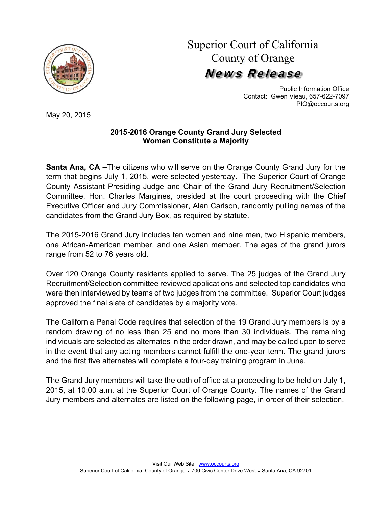

Superior Court of California County of Orange News Release

> Public Information Office Contact: Gwen Vieau, 657-622-7097 PIO@occourts.org

May 20, 2015

## **2015-2016 Orange County Grand Jury Selected Women Constitute a Majority**

**Santa Ana, CA –**The citizens who will serve on the Orange County Grand Jury for the term that begins July 1, 2015, were selected yesterday. The Superior Court of Orange County Assistant Presiding Judge and Chair of the Grand Jury Recruitment/Selection Committee, Hon. Charles Margines, presided at the court proceeding with the Chief Executive Officer and Jury Commissioner, Alan Carlson, randomly pulling names of the candidates from the Grand Jury Box, as required by statute.

The 2015-2016 Grand Jury includes ten women and nine men, two Hispanic members, one African-American member, and one Asian member. The ages of the grand jurors range from 52 to 76 years old.

Over 120 Orange County residents applied to serve. The 25 judges of the Grand Jury Recruitment/Selection committee reviewed applications and selected top candidates who were then interviewed by teams of two judges from the committee. Superior Court judges approved the final slate of candidates by a majority vote.

The California Penal Code requires that selection of the 19 Grand Jury members is by a random drawing of no less than 25 and no more than 30 individuals. The remaining individuals are selected as alternates in the order drawn, and may be called upon to serve in the event that any acting members cannot fulfill the one-year term. The grand jurors and the first five alternates will complete a four-day training program in June.

The Grand Jury members will take the oath of office at a proceeding to be held on July 1, 2015, at 10:00 a.m. at the Superior Court of Orange County. The names of the Grand Jury members and alternates are listed on the following page, in order of their selection.